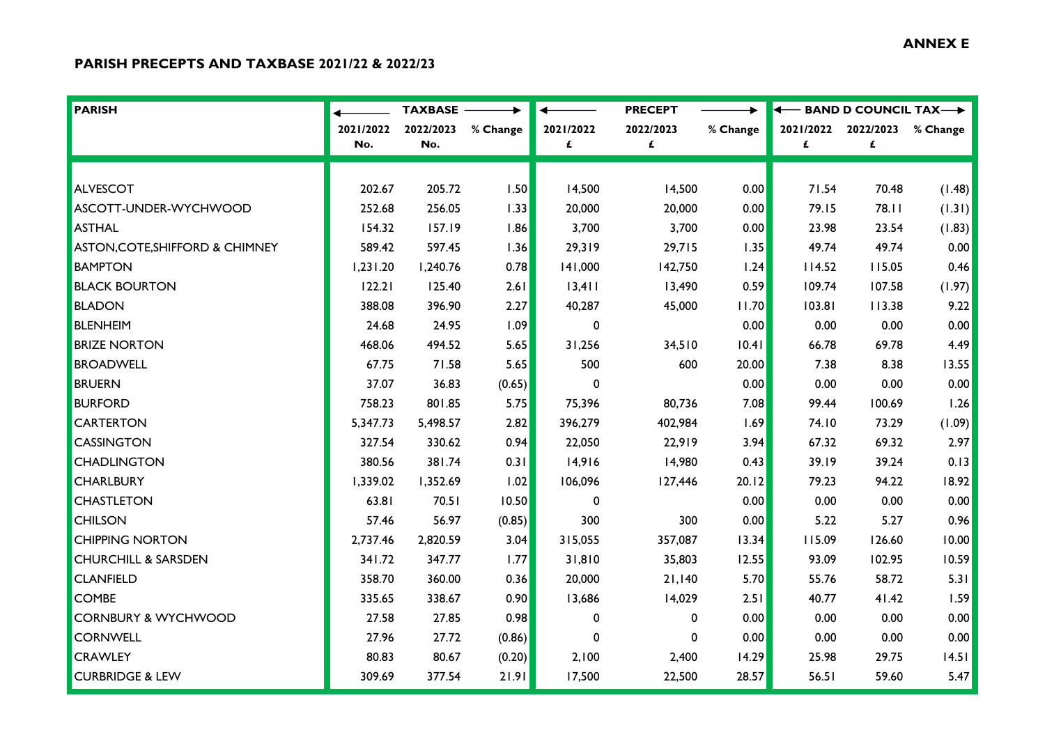## **ANNEX E**

## **PARISH PRECEPTS AND TAXBASE 2021/22 & 2022/23**

| <b>PARISH</b>                   |           | <b>TAXBASE</b> |          |              | <b>PRECEPT</b> |          | ← BAND D COUNCIL TAX→ |           |          |
|---------------------------------|-----------|----------------|----------|--------------|----------------|----------|-----------------------|-----------|----------|
|                                 | 2021/2022 | 2022/2023      | % Change | 2021/2022    | 2022/2023      | % Change | 2021/2022             | 2022/2023 | % Change |
|                                 | No.       | No.            |          | £            | £              |          | £                     | £         |          |
|                                 |           |                |          |              |                |          |                       |           |          |
| <b>ALVESCOT</b>                 | 202.67    | 205.72         | 1.50     | 14,500       | 14,500         | 0.00     | 71.54                 | 70.48     | (1.48)   |
| ASCOTT-UNDER-WYCHWOOD           | 252.68    | 256.05         | 1.33     | 20,000       | 20,000         | 0.00     | 79.15                 | 78.11     | (1.31)   |
| <b>ASTHAL</b>                   | 154.32    | 157.19         | 1.86     | 3,700        | 3,700          | 0.00     | 23.98                 | 23.54     | (1.83)   |
| ASTON, COTE, SHIFFORD & CHIMNEY | 589.42    | 597.45         | 1.36     | 29,319       | 29,715         | 1.35     | 49.74                 | 49.74     | 0.00     |
| <b>BAMPTON</b>                  | 1,231.20  | 1,240.76       | 0.78     | 141,000      | 142,750        | 1.24     | 114.52                | 115.05    | 0.46     |
| <b>BLACK BOURTON</b>            | 122.21    | 125.40         | 2.61     | 13,411       | 13,490         | 0.59     | 109.74                | 107.58    | (1.97)   |
| <b>BLADON</b>                   | 388.08    | 396.90         | 2.27     | 40,287       | 45,000         | 11.70    | 103.81                | 113.38    | 9.22     |
| <b>BLENHEIM</b>                 | 24.68     | 24.95          | 1.09     | 0            |                | 0.00     | 0.00                  | 0.00      | 0.00     |
| <b>BRIZE NORTON</b>             | 468.06    | 494.52         | 5.65     | 31,256       | 34,510         | 0.4      | 66.78                 | 69.78     | 4.49     |
| <b>BROADWELL</b>                | 67.75     | 71.58          | 5.65     | 500          | 600            | 20.00    | 7.38                  | 8.38      | 13.55    |
| <b>BRUERN</b>                   | 37.07     | 36.83          | (0.65)   | $\mathbf 0$  |                | 0.00     | 0.00                  | 0.00      | 0.00     |
| <b>BURFORD</b>                  | 758.23    | 801.85         | 5.75     | 75,396       | 80,736         | 7.08     | 99.44                 | 100.69    | 1.26     |
| <b>CARTERTON</b>                | 5,347.73  | 5,498.57       | 2.82     | 396,279      | 402,984        | 1.69     | 74.10                 | 73.29     | (1.09)   |
| <b>CASSINGTON</b>               | 327.54    | 330.62         | 0.94     | 22,050       | 22,919         | 3.94     | 67.32                 | 69.32     | 2.97     |
| <b>CHADLINGTON</b>              | 380.56    | 381.74         | 0.31     | 14,916       | 14,980         | 0.43     | 39.19                 | 39.24     | 0.13     |
| <b>CHARLBURY</b>                | 1,339.02  | 1,352.69       | 1.02     | 106,096      | 127,446        | 20.12    | 79.23                 | 94.22     | 18.92    |
| <b>CHASTLETON</b>               | 63.81     | 70.51          | 10.50    | $\mathbf{0}$ |                | 0.00     | 0.00                  | 0.00      | 0.00     |
| <b>CHILSON</b>                  | 57.46     | 56.97          | (0.85)   | 300          | 300            | 0.00     | 5.22                  | 5.27      | 0.96     |
| <b>CHIPPING NORTON</b>          | 2,737.46  | 2,820.59       | 3.04     | 315,055      | 357,087        | 13.34    | 115.09                | 126.60    | 10.00    |
| <b>CHURCHILL &amp; SARSDEN</b>  | 341.72    | 347.77         | 1.77     | 31,810       | 35,803         | 12.55    | 93.09                 | 102.95    | 10.59    |
| <b>CLANFIELD</b>                | 358.70    | 360.00         | 0.36     | 20,000       | 21,140         | 5.70     | 55.76                 | 58.72     | 5.31     |
| <b>COMBE</b>                    | 335.65    | 338.67         | 0.90     | 13,686       | 14,029         | 2.51     | 40.77                 | 41.42     | 1.59     |
| <b>CORNBURY &amp; WYCHWOOD</b>  | 27.58     | 27.85          | 0.98     | 0            | 0              | 0.00     | 0.00                  | 0.00      | 0.00     |
| <b>CORNWELL</b>                 | 27.96     | 27.72          | (0.86)   | $\mathbf{0}$ | $\mathbf 0$    | 0.00     | 0.00                  | 0.00      | 0.00     |
| <b>CRAWLEY</b>                  | 80.83     | 80.67          | (0.20)   | 2,100        | 2,400          | 14.29    | 25.98                 | 29.75     | 14.51    |
| <b>CURBRIDGE &amp; LEW</b>      | 309.69    | 377.54         | 21.91    | 17,500       | 22,500         | 28.57    | 56.51                 | 59.60     | 5.47     |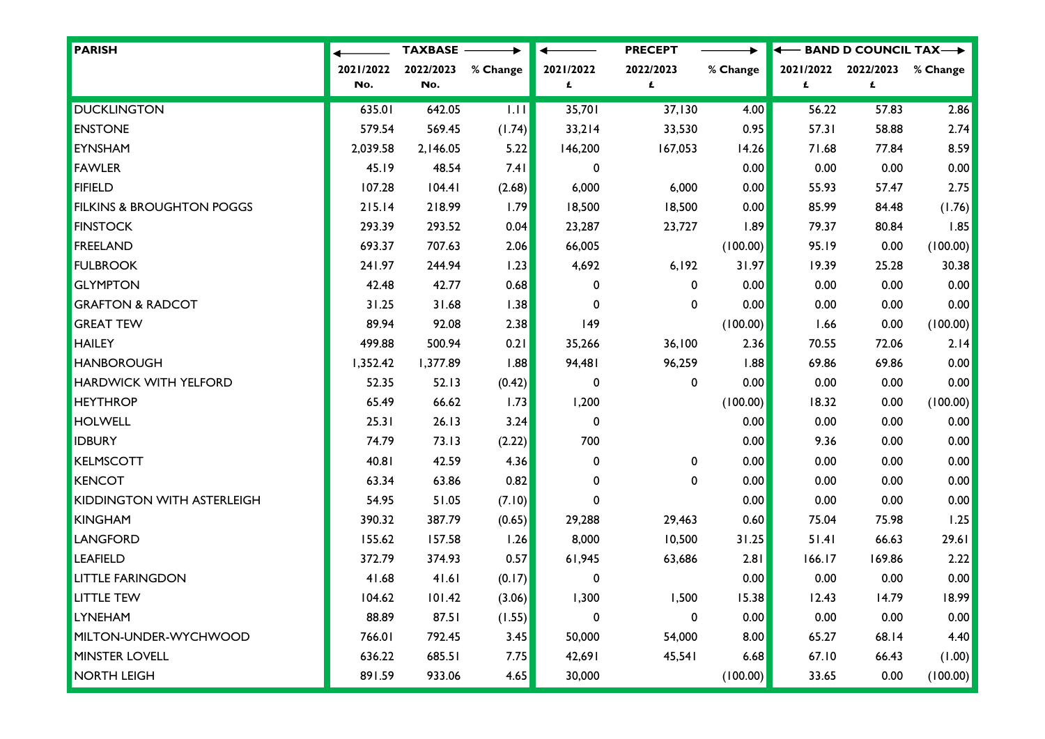| PARISH                               |           | <b>TAXBASE -</b> |          |              | <b>PRECEPT</b> | ▸        | ↞         |           | $-$ BAND D COUNCIL TAX $\longrightarrow$ |  |
|--------------------------------------|-----------|------------------|----------|--------------|----------------|----------|-----------|-----------|------------------------------------------|--|
|                                      | 2021/2022 | 2022/2023        | % Change | 2021/2022    | 2022/2023      | % Change | 2021/2022 | 2022/2023 | % Change                                 |  |
|                                      | No.       | No.              |          | £            | £              |          | £         | £         |                                          |  |
| <b>DUCKLINGTON</b>                   | 635.01    | 642.05           | 1.11     | 35,701       | 37,130         | 4.00     | 56.22     | 57.83     | 2.86                                     |  |
| <b>ENSTONE</b>                       | 579.54    | 569.45           | (1.74)   | 33,214       | 33,530         | 0.95     | 57.31     | 58.88     | 2.74                                     |  |
| <b>EYNSHAM</b>                       | 2,039.58  | 2,146.05         | 5.22     | 146,200      | 167,053        | 14.26    | 71.68     | 77.84     | 8.59                                     |  |
| <b>FAWLER</b>                        | 45.19     | 48.54            | 7.41     | $\mathbf 0$  |                | 0.00     | 0.00      | 0.00      | 0.00                                     |  |
| <b>FIFIELD</b>                       | 107.28    | 104.41           | (2.68)   | 6,000        | 6,000          | 0.00     | 55.93     | 57.47     | 2.75                                     |  |
| <b>FILKINS &amp; BROUGHTON POGGS</b> | 215.14    | 218.99           | 1.79     | 18,500       | 18,500         | 0.00     | 85.99     | 84.48     | (1.76)                                   |  |
| <b>FINSTOCK</b>                      | 293.39    | 293.52           | 0.04     | 23,287       | 23,727         | .89      | 79.37     | 80.84     | 1.85                                     |  |
| <b>FREELAND</b>                      | 693.37    | 707.63           | 2.06     | 66,005       |                | (100.00) | 95.19     | 0.00      | (100.00)                                 |  |
| <b>FULBROOK</b>                      | 241.97    | 244.94           | 1.23     | 4,692        | 6,192          | 31.97    | 19.39     | 25.28     | 30.38                                    |  |
| <b>GLYMPTON</b>                      | 42.48     | 42.77            | 0.68     | 0            | $\mathbf 0$    | 0.00     | 0.00      | 0.00      | 0.00                                     |  |
| <b>GRAFTON &amp; RADCOT</b>          | 31.25     | 31.68            | 1.38     | 0            | $\mathbf 0$    | 0.00     | 0.00      | 0.00      | 0.00                                     |  |
| <b>GREAT TEW</b>                     | 89.94     | 92.08            | 2.38     | 149          |                | (100.00) | 1.66      | 0.00      | (100.00)                                 |  |
| <b>HAILEY</b>                        | 499.88    | 500.94           | 0.21     | 35,266       | 36,100         | 2.36     | 70.55     | 72.06     | 2.14                                     |  |
| <b>HANBOROUGH</b>                    | 1,352.42  | 1,377.89         | 1.88     | 94,481       | 96,259         | 1.88     | 69.86     | 69.86     | 0.00                                     |  |
| <b>HARDWICK WITH YELFORD</b>         | 52.35     | 52.13            | (0.42)   | 0            | $\mathbf 0$    | 0.00     | 0.00      | 0.00      | 0.00                                     |  |
| <b>HEYTHROP</b>                      | 65.49     | 66.62            | 1.73     | 1,200        |                | (100.00) | 18.32     | 0.00      | (100.00)                                 |  |
| <b>HOLWELL</b>                       | 25.31     | 26.13            | 3.24     | $\mathbf 0$  |                | 0.00     | 0.00      | 0.00      | 0.00                                     |  |
| <b>IDBURY</b>                        | 74.79     | 73.13            | (2.22)   | 700          |                | 0.00     | 9.36      | 0.00      | 0.00                                     |  |
| <b>KELMSCOTT</b>                     | 40.81     | 42.59            | 4.36     | 0            | $\mathbf 0$    | 0.00     | 0.00      | 0.00      | 0.00                                     |  |
| KENCOT                               | 63.34     | 63.86            | 0.82     | 0            | 0              | 0.00     | 0.00      | 0.00      | 0.00                                     |  |
| <b>KIDDINGTON WITH ASTERLEIGH</b>    | 54.95     | 51.05            | (7.10)   | $\mathbf{0}$ |                | 0.00     | 0.00      | 0.00      | 0.00                                     |  |
| <b>KINGHAM</b>                       | 390.32    | 387.79           | (0.65)   | 29,288       | 29,463         | 0.60     | 75.04     | 75.98     | 1.25                                     |  |
| <b>LANGFORD</b>                      | 155.62    | 157.58           | 1.26     | 8,000        | 10,500         | 31.25    | 51.41     | 66.63     | 29.61                                    |  |
| <b>LEAFIELD</b>                      | 372.79    | 374.93           | 0.57     | 61,945       | 63,686         | 2.81     | 166.17    | 169.86    | 2.22                                     |  |
| <b>LITTLE FARINGDON</b>              | 41.68     | 41.61            | (0.17)   | 0            |                | 0.00     | 0.00      | 0.00      | 0.00                                     |  |
| <b>LITTLE TEW</b>                    | 104.62    | 101.42           | (3.06)   | 1,300        | 1,500          | 15.38    | 12.43     | 14.79     | 18.99                                    |  |
| <b>LYNEHAM</b>                       | 88.89     | 87.51            | (1.55)   | 0            | 0              | 0.00     | 0.00      | 0.00      | 0.00                                     |  |
| MILTON-UNDER-WYCHWOOD                | 766.01    | 792.45           | 3.45     | 50,000       | 54,000         | 8.00     | 65.27     | 68.14     | 4.40                                     |  |
| <b>MINSTER LOVELL</b>                | 636.22    | 685.51           | 7.75     | 42,691       | 45,541         | 6.68     | 67.10     | 66.43     | (1.00)                                   |  |
| <b>NORTH LEIGH</b>                   | 891.59    | 933.06           | 4.65     | 30,000       |                | (100.00) | 33.65     | 0.00      | (100.00)                                 |  |